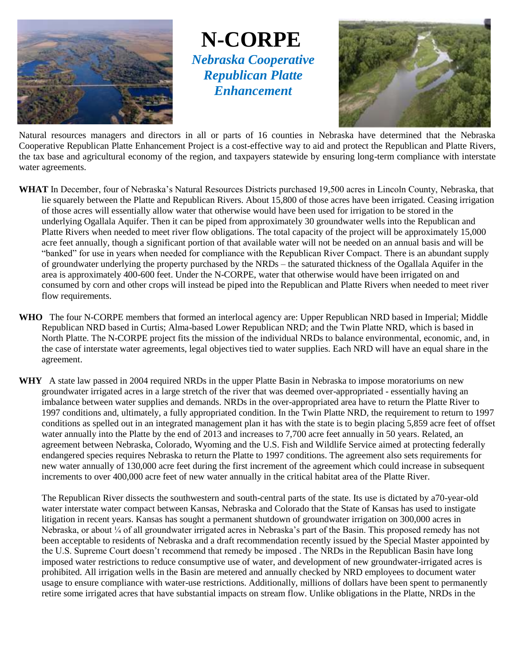

**N-CORPE** *Nebraska Cooperative Republican Platte Enhancement*



Natural resources managers and directors in all or parts of 16 counties in Nebraska have determined that the Nebraska Cooperative Republican Platte Enhancement Project is a cost-effective way to aid and protect the Republican and Platte Rivers, the tax base and agricultural economy of the region, and taxpayers statewide by ensuring long-term compliance with interstate water agreements.

- **WHAT** In December, four of Nebraska's Natural Resources Districts purchased 19,500 acres in Lincoln County, Nebraska, that lie squarely between the Platte and Republican Rivers. About 15,800 of those acres have been irrigated. Ceasing irrigation of those acres will essentially allow water that otherwise would have been used for irrigation to be stored in the underlying Ogallala Aquifer. Then it can be piped from approximately 30 groundwater wells into the Republican and Platte Rivers when needed to meet river flow obligations. The total capacity of the project will be approximately 15,000 acre feet annually, though a significant portion of that available water will not be needed on an annual basis and will be "banked" for use in years when needed for compliance with the Republican River Compact. There is an abundant supply of groundwater underlying the property purchased by the NRDs – the saturated thickness of the Ogallala Aquifer in the area is approximately 400-600 feet. Under the N-CORPE, water that otherwise would have been irrigated on and consumed by corn and other crops will instead be piped into the Republican and Platte Rivers when needed to meet river flow requirements.
- **WHO** The four N-CORPE members that formed an interlocal agency are: Upper Republican NRD based in Imperial; Middle Republican NRD based in Curtis; Alma-based Lower Republican NRD; and the Twin Platte NRD, which is based in North Platte. The N-CORPE project fits the mission of the individual NRDs to balance environmental, economic, and, in the case of interstate water agreements, legal objectives tied to water supplies. Each NRD will have an equal share in the agreement.
- **WHY** A state law passed in 2004 required NRDs in the upper Platte Basin in Nebraska to impose moratoriums on new groundwater irrigated acres in a large stretch of the river that was deemed over-appropriated - essentially having an imbalance between water supplies and demands. NRDs in the over-appropriated area have to return the Platte River to 1997 conditions and, ultimately, a fully appropriated condition. In the Twin Platte NRD, the requirement to return to 1997 conditions as spelled out in an integrated management plan it has with the state is to begin placing 5,859 acre feet of offset water annually into the Platte by the end of 2013 and increases to 7,700 acre feet annually in 50 years. Related, an agreement between Nebraska, Colorado, Wyoming and the U.S. Fish and Wildlife Service aimed at protecting federally endangered species requires Nebraska to return the Platte to 1997 conditions. The agreement also sets requirements for new water annually of 130,000 acre feet during the first increment of the agreement which could increase in subsequent increments to over 400,000 acre feet of new water annually in the critical habitat area of the Platte River.

The Republican River dissects the southwestern and south-central parts of the state. Its use is dictated by a70-year-old water interstate water compact between Kansas, Nebraska and Colorado that the State of Kansas has used to instigate litigation in recent years. Kansas has sought a permanent shutdown of groundwater irrigation on 300,000 acres in Nebraska, or about ¼ of all groundwater irrigated acres in Nebraska's part of the Basin. This proposed remedy has not been acceptable to residents of Nebraska and a draft recommendation recently issued by the Special Master appointed by the U.S. Supreme Court doesn't recommend that remedy be imposed . The NRDs in the Republican Basin have long imposed water restrictions to reduce consumptive use of water, and development of new groundwater-irrigated acres is prohibited. All irrigation wells in the Basin are metered and annually checked by NRD employees to document water usage to ensure compliance with water-use restrictions. Additionally, millions of dollars have been spent to permanently retire some irrigated acres that have substantial impacts on stream flow. Unlike obligations in the Platte, NRDs in the